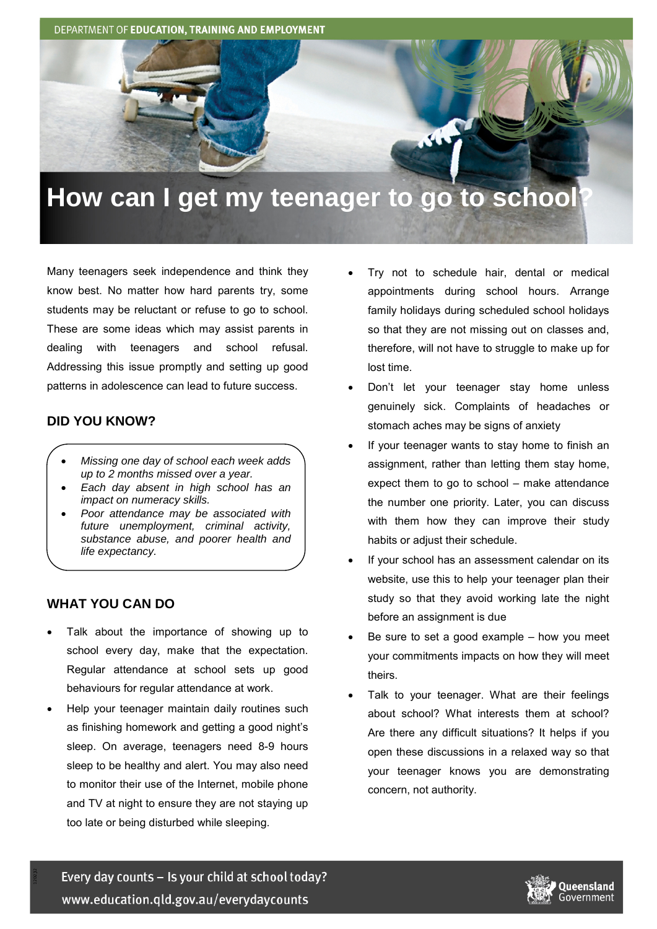DEPARTMENT OF EDUCATION, TRAINING AND EMPLOYMENT

# **How can I get my teenager to go to school?**

Many teenagers seek independence and think they know best. No matter how hard parents try, some students may be reluctant or refuse to go to school. These are some ideas which may assist parents in dealing with teenagers and school refusal. Addressing this issue promptly and setting up good patterns in adolescence can lead to future success.

#### **DID YOU KNOW?**

- *Missing one day of school each week adds up to 2 months missed over a year.*
- *Each day absent in high school has an impact on numeracy skills.*
- *Poor attendance may be associated with future unemployment, criminal activity, substance abuse, and poorer health and life expectancy.*

## **WHAT YOU CAN DO**

- Talk about the importance of showing up to school every day, make that the expectation. Regular attendance at school sets up good behaviours for regular attendance at work.
- Help your teenager maintain daily routines such as finishing homework and getting a good night's sleep. On average, teenagers need 8-9 hours sleep to be healthy and alert. You may also need to monitor their use of the Internet, mobile phone and TV at night to ensure they are not staying up too late or being disturbed while sleeping.
- Try not to schedule hair, dental or medical appointments during school hours. Arrange family holidays during scheduled school holidays so that they are not missing out on classes and, therefore, will not have to struggle to make up for lost time.
- Don't let your teenager stay home unless genuinely sick. Complaints of headaches or stomach aches may be signs of anxiety
- If your teenager wants to stay home to finish an assignment, rather than letting them stay home, expect them to go to school – make attendance the number one priority. Later, you can discuss with them how they can improve their study habits or adjust their schedule.
- If your school has an assessment calendar on its website, use this to help your teenager plan their study so that they avoid working late the night before an assignment is due
- Be sure to set a good example  $-$  how you meet your commitments impacts on how they will meet theirs.
- Talk to your teenager. What are their feelings about school? What interests them at school? Are there any difficult situations? It helps if you open these discussions in a relaxed way so that your teenager knows you are demonstrating concern, not authority.